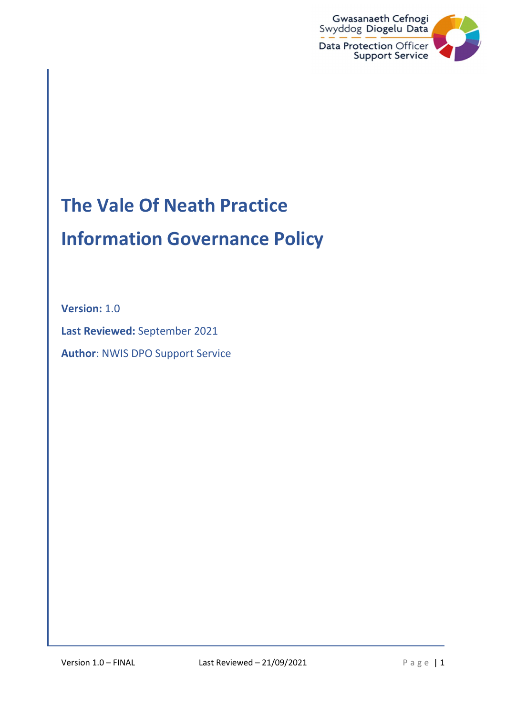

# The Vale Of Neath Practice

## Information Governance Policy

Version: 1.0

Last Reviewed: September 2021

Author: NWIS DPO Support Service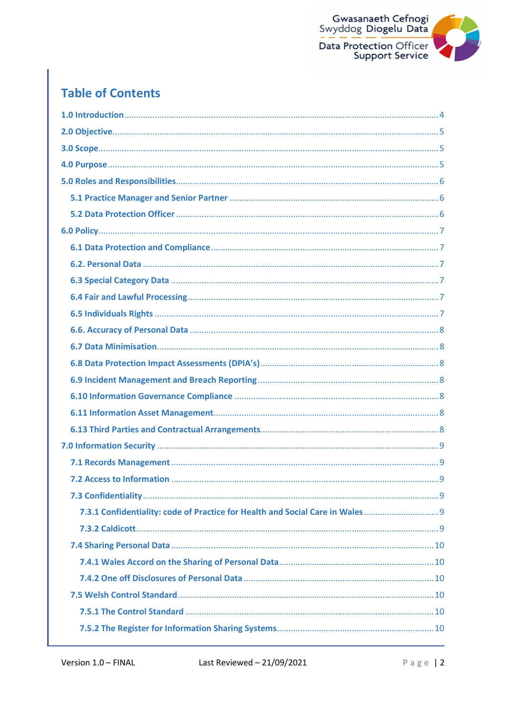

## **Table of Contents**

| 7.3.1 Confidentiality: code of Practice for Health and Social Care in Wales |  |
|-----------------------------------------------------------------------------|--|
|                                                                             |  |
|                                                                             |  |
|                                                                             |  |
|                                                                             |  |
|                                                                             |  |
|                                                                             |  |
|                                                                             |  |
|                                                                             |  |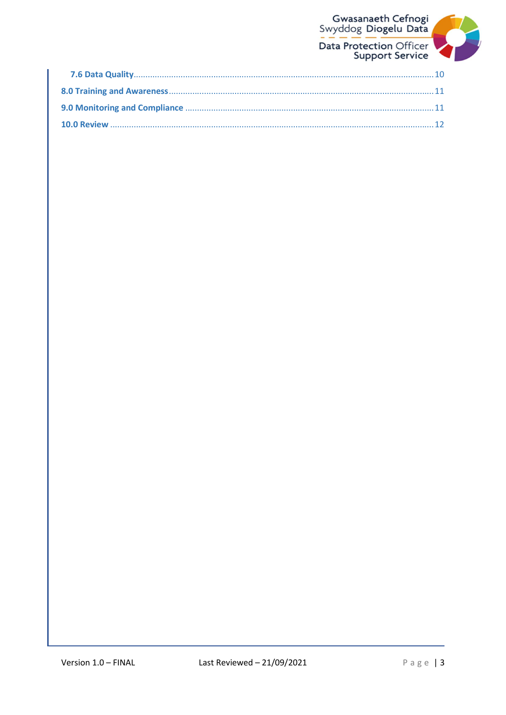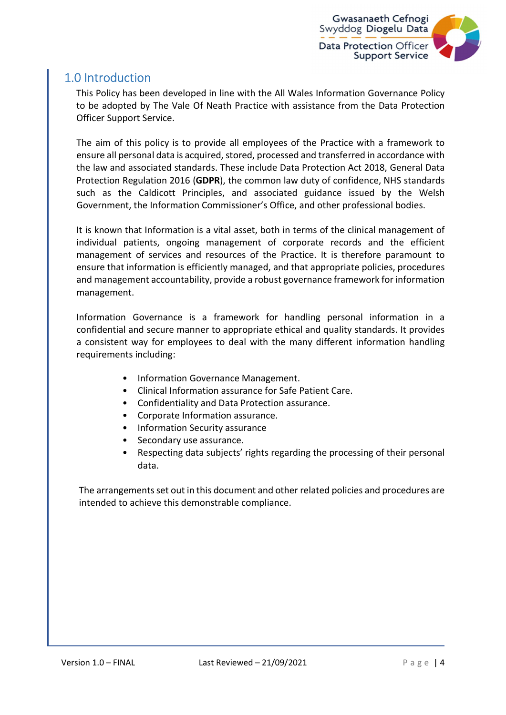

## 1.0 Introduction

This Policy has been developed in line with the All Wales Information Governance Policy to be adopted by The Vale Of Neath Practice with assistance from the Data Protection Officer Support Service.

The aim of this policy is to provide all employees of the Practice with a framework to ensure all personal data is acquired, stored, processed and transferred in accordance with the law and associated standards. These include Data Protection Act 2018, General Data Protection Regulation 2016 (GDPR), the common law duty of confidence, NHS standards such as the Caldicott Principles, and associated guidance issued by the Welsh Government, the Information Commissioner's Office, and other professional bodies.

It is known that Information is a vital asset, both in terms of the clinical management of individual patients, ongoing management of corporate records and the efficient management of services and resources of the Practice. It is therefore paramount to ensure that information is efficiently managed, and that appropriate policies, procedures and management accountability, provide a robust governance framework for information management.

Information Governance is a framework for handling personal information in a confidential and secure manner to appropriate ethical and quality standards. It provides a consistent way for employees to deal with the many different information handling requirements including:

- Information Governance Management.
- Clinical Information assurance for Safe Patient Care.
- Confidentiality and Data Protection assurance.
- Corporate Information assurance.
- Information Security assurance
- Secondary use assurance.
- Respecting data subjects' rights regarding the processing of their personal data.

The arrangements set out in this document and other related policies and procedures are intended to achieve this demonstrable compliance.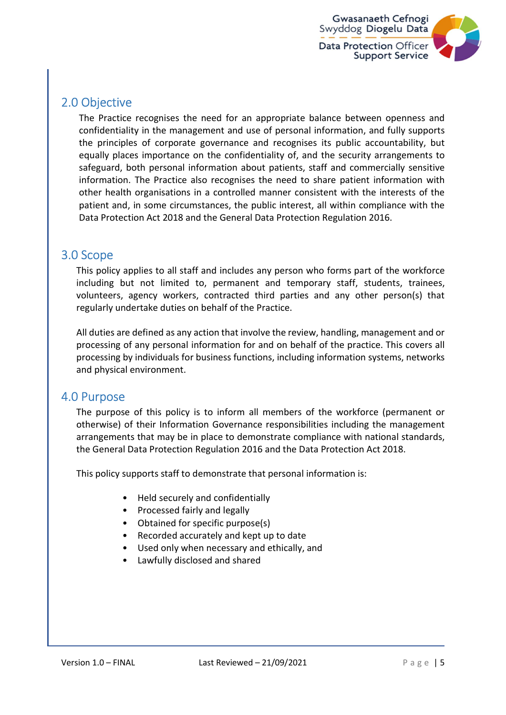

## 2.0 Objective

The Practice recognises the need for an appropriate balance between openness and confidentiality in the management and use of personal information, and fully supports the principles of corporate governance and recognises its public accountability, but equally places importance on the confidentiality of, and the security arrangements to safeguard, both personal information about patients, staff and commercially sensitive information. The Practice also recognises the need to share patient information with other health organisations in a controlled manner consistent with the interests of the patient and, in some circumstances, the public interest, all within compliance with the Data Protection Act 2018 and the General Data Protection Regulation 2016.

### 3.0 Scope

This policy applies to all staff and includes any person who forms part of the workforce including but not limited to, permanent and temporary staff, students, trainees, volunteers, agency workers, contracted third parties and any other person(s) that regularly undertake duties on behalf of the Practice.

All duties are defined as any action that involve the review, handling, management and or processing of any personal information for and on behalf of the practice. This covers all processing by individuals for business functions, including information systems, networks and physical environment.

#### 4.0 Purpose

The purpose of this policy is to inform all members of the workforce (permanent or otherwise) of their Information Governance responsibilities including the management arrangements that may be in place to demonstrate compliance with national standards, the General Data Protection Regulation 2016 and the Data Protection Act 2018.

This policy supports staff to demonstrate that personal information is:

- Held securely and confidentially
- Processed fairly and legally
- Obtained for specific purpose(s)
- Recorded accurately and kept up to date
- Used only when necessary and ethically, and
- Lawfully disclosed and shared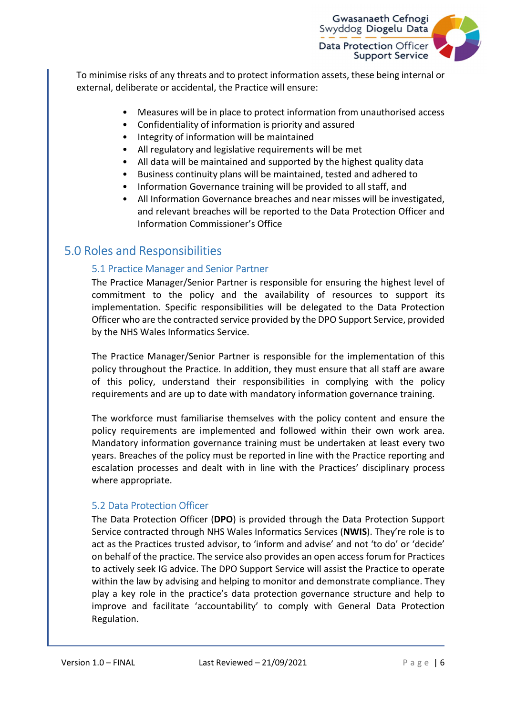

To minimise risks of any threats and to protect information assets, these being internal or external, deliberate or accidental, the Practice will ensure:

- Measures will be in place to protect information from unauthorised access
- Confidentiality of information is priority and assured
- Integrity of information will be maintained
- All regulatory and legislative requirements will be met
- All data will be maintained and supported by the highest quality data
- Business continuity plans will be maintained, tested and adhered to
- Information Governance training will be provided to all staff, and
- All Information Governance breaches and near misses will be investigated, and relevant breaches will be reported to the Data Protection Officer and Information Commissioner's Office

## 5.0 Roles and Responsibilities

#### 5.1 Practice Manager and Senior Partner

The Practice Manager/Senior Partner is responsible for ensuring the highest level of commitment to the policy and the availability of resources to support its implementation. Specific responsibilities will be delegated to the Data Protection Officer who are the contracted service provided by the DPO Support Service, provided by the NHS Wales Informatics Service.

The Practice Manager/Senior Partner is responsible for the implementation of this policy throughout the Practice. In addition, they must ensure that all staff are aware of this policy, understand their responsibilities in complying with the policy requirements and are up to date with mandatory information governance training.

The workforce must familiarise themselves with the policy content and ensure the policy requirements are implemented and followed within their own work area. Mandatory information governance training must be undertaken at least every two years. Breaches of the policy must be reported in line with the Practice reporting and escalation processes and dealt with in line with the Practices' disciplinary process where appropriate.

#### 5.2 Data Protection Officer

The Data Protection Officer (DPO) is provided through the Data Protection Support Service contracted through NHS Wales Informatics Services (NWIS). They're role is to act as the Practices trusted advisor, to 'inform and advise' and not 'to do' or 'decide' on behalf of the practice. The service also provides an open access forum for Practices to actively seek IG advice. The DPO Support Service will assist the Practice to operate within the law by advising and helping to monitor and demonstrate compliance. They play a key role in the practice's data protection governance structure and help to improve and facilitate 'accountability' to comply with General Data Protection Regulation.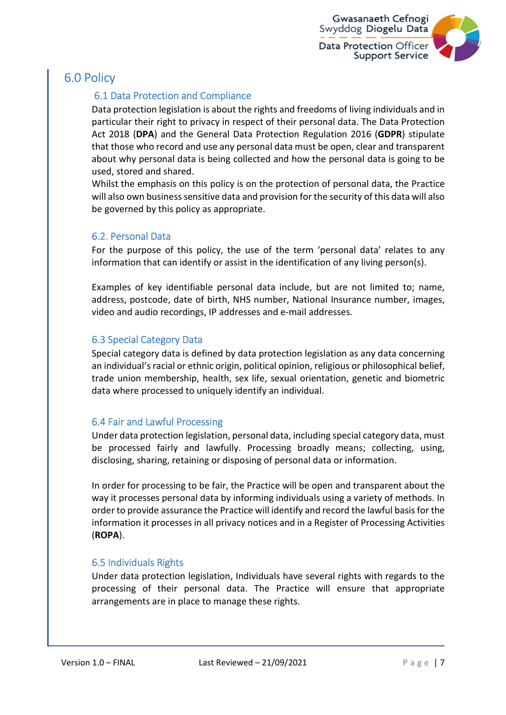

## 6.0 Policy

#### 6.1 Data Protection and Compliance

Data protection legislation is about the rights and freedoms of living individuals and in particular their right to privacy in respect of their personal data. The Data Protection Act 2018 (DPA) and the General Data Protection Regulation 2016 (GDPR) stipulate that those who record and use any personal data must be open, clear and transparent about why personal data is being collected and how the personal data is going to be used, stored and shared.

Whilst the emphasis on this policy is on the protection of personal data, the Practice will also own business sensitive data and provision for the security of this data will also be governed by this policy as appropriate.

#### 6.2. Personal Data

For the purpose of this policy, the use of the term 'personal data' relates to any information that can identify or assist in the identification of any living person(s).

Examples of key identifiable personal data include, but are not limited to; name, address, postcode, date of birth, NHS number, National Insurance number, images, video and audio recordings, IP addresses and e-mail addresses.

#### 6.3 Special Category Data

Special category data is defined by data protection legislation as any data concerning an individual's racial or ethnic origin, political opinion, religious or philosophical belief, trade union membership, health, sex life, sexual orientation, genetic and biometric data where processed to uniquely identify an individual.

#### 6.4 Fair and Lawful Processing

Under data protection legislation, personal data, including special category data, must be processed fairly and lawfully. Processing broadly means; collecting, using, disclosing, sharing, retaining or disposing of personal data or information.

In order for processing to be fair, the Practice will be open and transparent about the way it processes personal data by informing individuals using a variety of methods. In order to provide assurance the Practice will identify and record the lawful basis for the information it processes in all privacy notices and in a Register of Processing Activities (ROPA).

#### 6.5 Individuals Rights

Under data protection legislation, Individuals have several rights with regards to the processing of their personal data. The Practice will ensure that appropriate arrangements are in place to manage these rights.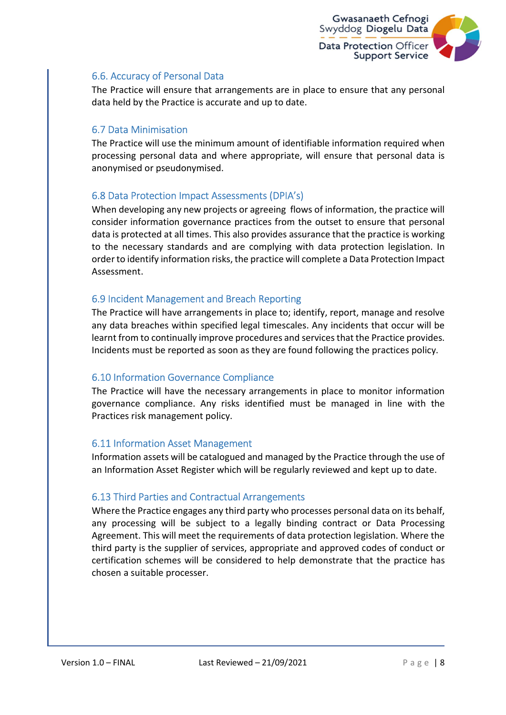

#### 6.6. Accuracy of Personal Data

The Practice will ensure that arrangements are in place to ensure that any personal data held by the Practice is accurate and up to date.

#### 6.7 Data Minimisation

The Practice will use the minimum amount of identifiable information required when processing personal data and where appropriate, will ensure that personal data is anonymised or pseudonymised.

#### 6.8 Data Protection Impact Assessments (DPIA's)

When developing any new projects or agreeing flows of information, the practice will consider information governance practices from the outset to ensure that personal data is protected at all times. This also provides assurance that the practice is working to the necessary standards and are complying with data protection legislation. In order to identify information risks, the practice will complete a Data Protection Impact Assessment.

#### 6.9 Incident Management and Breach Reporting

The Practice will have arrangements in place to; identify, report, manage and resolve any data breaches within specified legal timescales. Any incidents that occur will be learnt from to continually improve procedures and services that the Practice provides. Incidents must be reported as soon as they are found following the practices policy.

#### 6.10 Information Governance Compliance

The Practice will have the necessary arrangements in place to monitor information governance compliance. Any risks identified must be managed in line with the Practices risk management policy.

#### 6.11 Information Asset Management

Information assets will be catalogued and managed by the Practice through the use of an Information Asset Register which will be regularly reviewed and kept up to date.

#### 6.13 Third Parties and Contractual Arrangements

Where the Practice engages any third party who processes personal data on its behalf, any processing will be subject to a legally binding contract or Data Processing Agreement. This will meet the requirements of data protection legislation. Where the third party is the supplier of services, appropriate and approved codes of conduct or certification schemes will be considered to help demonstrate that the practice has chosen a suitable processer.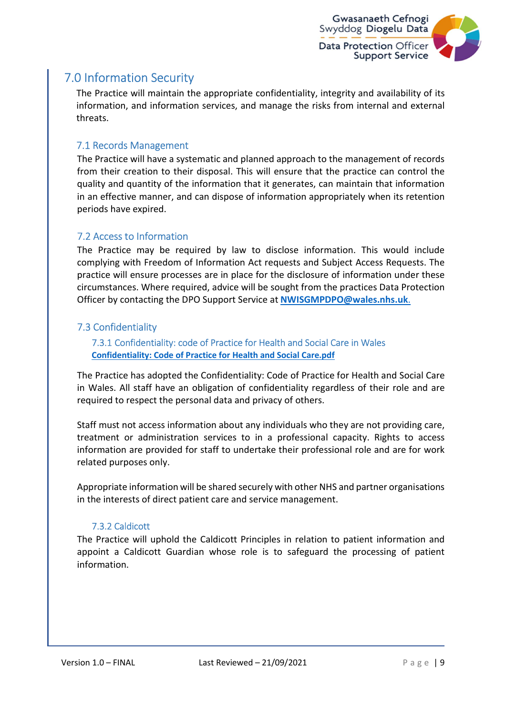

## 7.0 Information Security

The Practice will maintain the appropriate confidentiality, integrity and availability of its information, and information services, and manage the risks from internal and external threats.

#### 7.1 Records Management

The Practice will have a systematic and planned approach to the management of records from their creation to their disposal. This will ensure that the practice can control the quality and quantity of the information that it generates, can maintain that information in an effective manner, and can dispose of information appropriately when its retention periods have expired.

#### 7.2 Access to Information

The Practice may be required by law to disclose information. This would include complying with Freedom of Information Act requests and Subject Access Requests. The practice will ensure processes are in place for the disclosure of information under these circumstances. Where required, advice will be sought from the practices Data Protection Officer by contacting the DPO Support Service at NWISGMPDPO@wales.nhs.uk.

#### 7.3 Confidentiality

 7.3.1 Confidentiality: code of Practice for Health and Social Care in Wales Confidentiality: Code of Practice for Health and Social Care.pdf

The Practice has adopted the Confidentiality: Code of Practice for Health and Social Care in Wales. All staff have an obligation of confidentiality regardless of their role and are required to respect the personal data and privacy of others.

Staff must not access information about any individuals who they are not providing care, treatment or administration services to in a professional capacity. Rights to access information are provided for staff to undertake their professional role and are for work related purposes only.

Appropriate information will be shared securely with other NHS and partner organisations in the interests of direct patient care and service management.

#### 7.3.2 Caldicott

The Practice will uphold the Caldicott Principles in relation to patient information and appoint a Caldicott Guardian whose role is to safeguard the processing of patient information.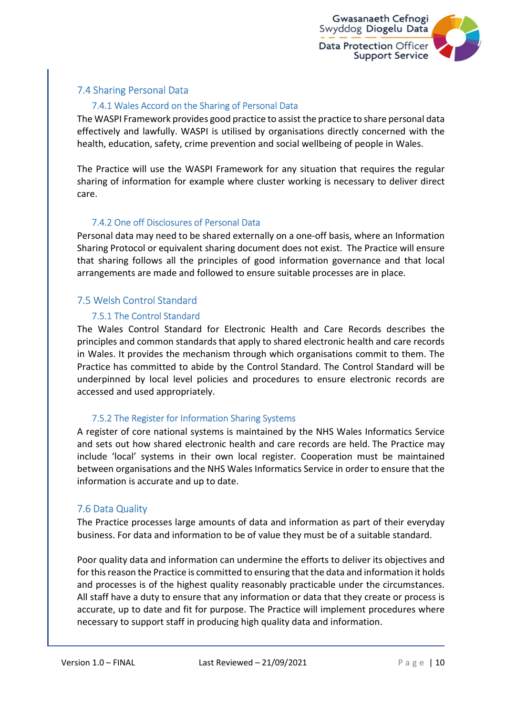

#### 7.4 Sharing Personal Data

#### 7.4.1 Wales Accord on the Sharing of Personal Data

The WASPI Framework provides good practice to assist the practice to share personal data effectively and lawfully. WASPI is utilised by organisations directly concerned with the health, education, safety, crime prevention and social wellbeing of people in Wales.

The Practice will use the WASPI Framework for any situation that requires the regular sharing of information for example where cluster working is necessary to deliver direct care.

#### 7.4.2 One off Disclosures of Personal Data

Personal data may need to be shared externally on a one-off basis, where an Information Sharing Protocol or equivalent sharing document does not exist. The Practice will ensure that sharing follows all the principles of good information governance and that local arrangements are made and followed to ensure suitable processes are in place.

#### 7.5 Welsh Control Standard

#### 7.5.1 The Control Standard

The Wales Control Standard for Electronic Health and Care Records describes the principles and common standards that apply to shared electronic health and care records in Wales. It provides the mechanism through which organisations commit to them. The Practice has committed to abide by the Control Standard. The Control Standard will be underpinned by local level policies and procedures to ensure electronic records are accessed and used appropriately.

#### 7.5.2 The Register for Information Sharing Systems

A register of core national systems is maintained by the NHS Wales Informatics Service and sets out how shared electronic health and care records are held. The Practice may include 'local' systems in their own local register. Cooperation must be maintained between organisations and the NHS Wales Informatics Service in order to ensure that the information is accurate and up to date.

#### 7.6 Data Quality

The Practice processes large amounts of data and information as part of their everyday business. For data and information to be of value they must be of a suitable standard.

Poor quality data and information can undermine the efforts to deliver its objectives and for this reason the Practice is committed to ensuring that the data and information it holds and processes is of the highest quality reasonably practicable under the circumstances. All staff have a duty to ensure that any information or data that they create or process is accurate, up to date and fit for purpose. The Practice will implement procedures where necessary to support staff in producing high quality data and information.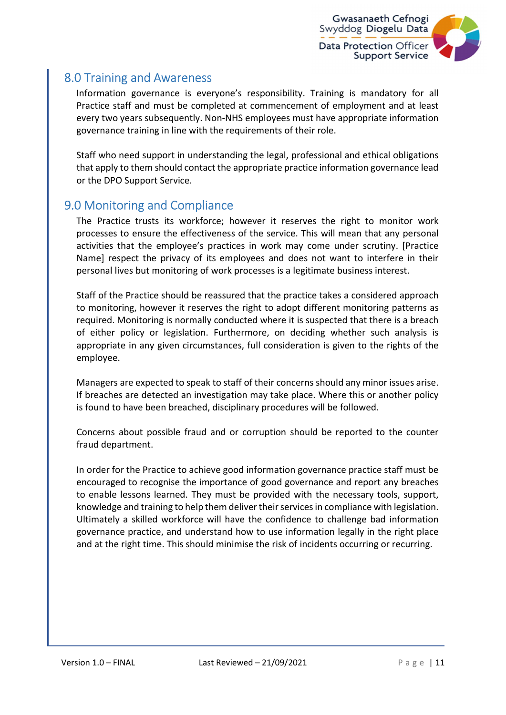

## 8.0 Training and Awareness

Information governance is everyone's responsibility. Training is mandatory for all Practice staff and must be completed at commencement of employment and at least every two years subsequently. Non-NHS employees must have appropriate information governance training in line with the requirements of their role.

Staff who need support in understanding the legal, professional and ethical obligations that apply to them should contact the appropriate practice information governance lead or the DPO Support Service.

## 9.0 Monitoring and Compliance

The Practice trusts its workforce; however it reserves the right to monitor work processes to ensure the effectiveness of the service. This will mean that any personal activities that the employee's practices in work may come under scrutiny. [Practice Name] respect the privacy of its employees and does not want to interfere in their personal lives but monitoring of work processes is a legitimate business interest.

Staff of the Practice should be reassured that the practice takes a considered approach to monitoring, however it reserves the right to adopt different monitoring patterns as required. Monitoring is normally conducted where it is suspected that there is a breach of either policy or legislation. Furthermore, on deciding whether such analysis is appropriate in any given circumstances, full consideration is given to the rights of the employee.

Managers are expected to speak to staff of their concerns should any minor issues arise. If breaches are detected an investigation may take place. Where this or another policy is found to have been breached, disciplinary procedures will be followed.

Concerns about possible fraud and or corruption should be reported to the counter fraud department.

In order for the Practice to achieve good information governance practice staff must be encouraged to recognise the importance of good governance and report any breaches to enable lessons learned. They must be provided with the necessary tools, support, knowledge and training to help them deliver their services in compliance with legislation. Ultimately a skilled workforce will have the confidence to challenge bad information governance practice, and understand how to use information legally in the right place and at the right time. This should minimise the risk of incidents occurring or recurring.